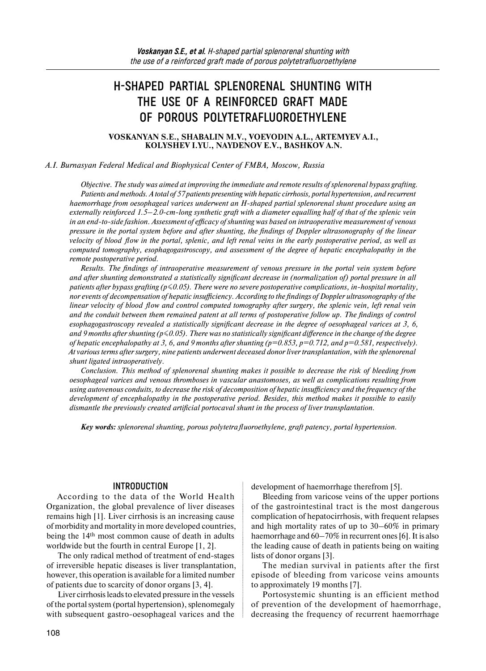# **H-SHAPED PARTIAL SPLENORENAL SHUNTING WITH THE USE OF A REINFORCED GRAFT MADE OF POROUS POLYTETRAFLUOROETHYLENE**

**VOSKANYAN S.E., SHABALIN M.V., VOEVODIN A.L., ARTEMYEV A.I., KOLYSHEV I.YU., NAYDENOV E.V., BASHKOV A.N.**

#### *A.I. Burnasyan Federal Medical and Biophysical Center of FMBA, Moscow, Russia*

*Objective. The study was aimed at improving the immediate and remote results of splenorenal bypass grafting. Patients and methods. A total of 57 patients presenting with hepatic cirrhosis, portal hypertension, and recurrent haemorrhage from oesophageal varices underwent an H-shaped partial splenorenal shunt procedure using an externally reinforced 1.5–2.0-cm-long synthetic graft with a diameter equalling half of that of the splenic vein in an end-to-side fashion. Assessment of efficacy of shunting was based on intraoperative measurement of venous pressure in the portal system before and after shunting, the findings of Doppler ultrasonography of the linear velocity of blood flow in the portal, splenic, and left renal veins in the early postoperative period, as well as computed tomography, esophagogastroscopy, and assessment of the degree of hepatic encephalopathy in the remote postoperative period.* 

*Results. The findings of intraoperative measurement of venous pressure in the portal vein system before and after shunting demonstrated a statistically significant decrease in (normalization of) portal pressure in all patients after bypass grafting (p≤0.05). There were no severe postoperative complications, in-hospital mortality, nor events of decompensation of hepatic insufficiency. According to the findings of Doppler ultrasonography of the linear velocity of blood flow and control computed tomography after surgery, the splenic vein, left renal vein and the conduit between them remained patent at all terms of postoperative follow up. The findings of control esophagogastroscopy revealed a statistically significant decrease in the degree of oesophageal varices at 3, 6, and 9 months after shunting (p≤0.05). There was no statistically significant difference in the change of the degree of hepatic encephalopathy at 3, 6, and 9 months after shunting (p=0.853, p=0.712, and p=0.581, respectively). At various terms after surgery, nine patients underwent deceased donor liver transplantation, with the splenorenal shunt ligated intraoperatively.* 

*Conclusion. This method of splenorenal shunting makes it possible to decrease the risk of bleeding from oesophageal varices and venous thromboses in vascular anastomoses, as well as complications resulting from using autovenous conduits, to decrease the risk of decomposition of hepatic insufficiency and the frequency of the development of encephalopathy in the postoperative period. Besides, this method makes it possible to easily dismantle the previously created artificial portocaval shunt in the process of liver transplantation.* 

*Key words: splenorenal shunting, porous polytetrafluoroethylene, graft patency, portal hypertension.* 

#### **INTRODUCTION**

According to the data of the World Health Organization, the global prevalence of liver diseases remains high [1]. Liver cirrhosis is an increasing cause of morbidity and mortality in more developed countries, being the 14th most common cause of death in adults worldwide but the fourth in central Europe [1, 2].

The only radical method of treatment of end-stages of irreversible hepatic diseases is liver transplantation, however, this operation is available for a limited number of patients due to scarcity of donor organs [3, 4].

Liver cirrhosis leads to elevated pressure in the vessels of the portal system (portal hypertension), splenomegaly with subsequent gastro-oesophageal varices and the

development of haemorrhage therefrom [5].

Bleeding from varicose veins of the upper portions of the gastrointestinal tract is the most dangerous complication of hepatocirrhosis, with frequent relapses and high mortality rates of up to 30–60% in primary haemorrhage and  $60-70\%$  in recurrent ones [6]. It is also the leading cause of death in patients being on waiting lists of donor organs [3].

The median survival in patients after the first episode of bleeding from varicose veins amounts to approximately 19 months [7].

Portosystemic shunting is an efficient method of prevention of the development of haemorrhage, decreasing the frequency of recurrent haemorrhage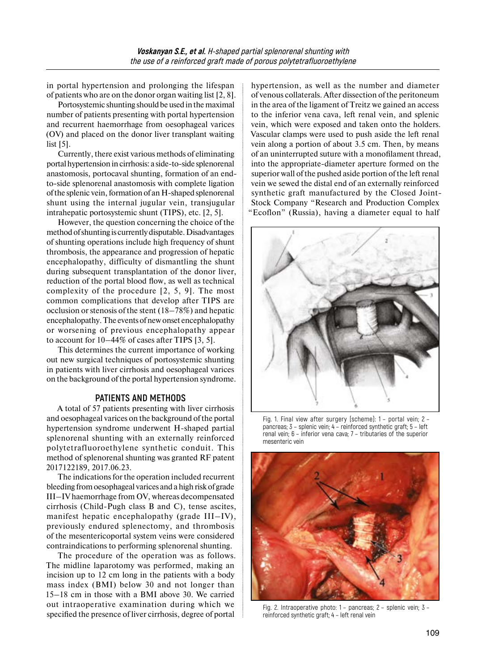in portal hypertension and prolonging the lifespan of patients who are on the donor organ waiting list [2, 8].

Portosystemic shunting should be used in the maximal number of patients presenting with portal hypertension and recurrent haemorrhage from oesophageal varices (OV) and placed on the donor liver transplant waiting list [5].

Currently, there exist various methods of eliminating portal hypertension incirrhosis: a side-to-side splenorenal anastomosis, portocaval shunting, formation of an endto-side splenorenal anastomosis with complete ligation ofthe splenic vein, formation of an H-shaped splenorenal shunt using the internal jugular vein, transjugular intrahepatic portosystemic shunt (TIPS), etc. [2, 5].

However, the question concerning the choice of the method ofshunting is currently disputable. Disadvantages of shunting operations include high frequency of shunt thrombosis, the appearance and progression of hepatic encephalopathy, difficulty of dismantling the shunt during subsequent transplantation of the donor liver, reduction of the portal blood flow, as well as technical complexity of the procedure [2, 5, 9]. The most common complications that develop after TIPS are occlusion or stenosis of the stent (18–78%) and hepatic encephalopathy. The events of new onset encephalopathy or worsening of previous encephalopathy appear to account for 10–44% of cases after TIPS [3, 5].

This determines the current importance of working out new surgical techniques of portosystemic shunting in patients with liver cirrhosis and oesophageal varices on the background of the portal hypertension syndrome.

#### **PATIENTS AND METHODS**

A total of 57 patients presenting with liver cirrhosis and oesophageal varices on the background of the portal hypertension syndrome underwent H-shaped partial splenorenal shunting with an externally reinforced polytetrafluoroethylene synthetic conduit. This method of splenorenal shunting was granted RF patent 2017122189, 2017.06.23.

The indications for the operation included recurrent bleeding from oesophageal varices and a high risk of grade III–IV haemorrhage from OV, whereas decompensated cirrhosis (Child-Pugh class B and C), tense ascites, manifest hepatic encephalopathy (grade III–IV), previously endured splenectomy, and thrombosis of the mesentericoportal system veins were considered contraindications to performing splenorenal shunting.

The procedure of the operation was as follows. The midline laparotomy was performed, making an incision up to 12 cm long in the patients with a body mass index (BMI) below 30 and not longer than 15–18 cm in those with a BMI above 30. We carried out intraoperative examination during which we specified the presence of liver cirrhosis, degree of portal

hypertension, as well as the number and diameter of venous collaterals. After dissection of the peritoneum in the area of the ligament of Treitz we gained an access to the inferior vena cava, left renal vein, and splenic vein, which were exposed and taken onto the holders. Vascular clamps were used to push aside the left renal vein along a portion of about 3.5 cm. Then, by means of an uninterrupted suture with a monofilament thread, into the appropriate-diameter aperture formed on the superior wall of the pushed aside portion of the left renal vein we sewed the distal end of an externally reinforced synthetic graft manufactured by the Closed Joint-Stock Company "Research and Production Complex "Ecoflon" (Russia), having a diameter equal to half



Fig. 1. Final view after surgery (scheme): 1 – portal vein; 2 – pancreas; 3 – splenic vein; 4 – reinforced synthetic graft; 5 – left renal vein; 6 – inferior vena cava; 7 – tributaries of the superior mesenteric vein



Fig. 2. Intraoperative photo: 1 – pancreas; 2 – splenic vein; 3 – reinforced synthetic graft; 4 – left renal vein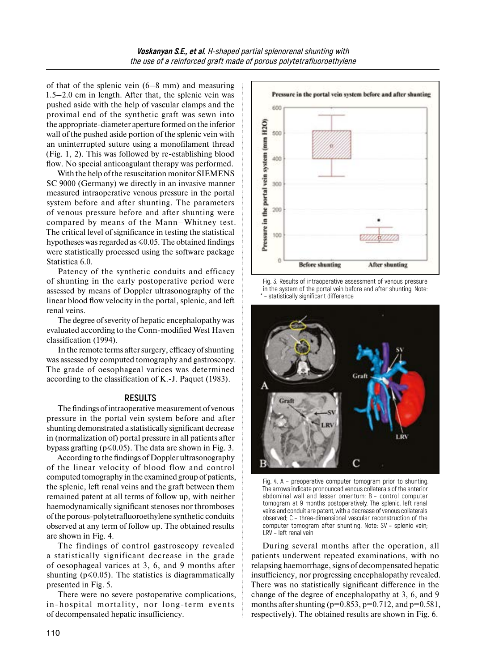of that of the splenic vein (6–8 mm) and measuring 1.5–2.0 cm in length. After that, the splenic vein was pushed aside with the help of vascular clamps and the proximal end of the synthetic graft was sewn into the appropriate-diameter aperture formed on the inferior wall of the pushed aside portion of the splenic vein with an uninterrupted suture using a monofilament thread (Fig. 1, 2). This was followed by re-establishing blood flow. No special anticoagulant therapy was performed.

With the help of the resuscitation monitor SIEMENS SC 9000 (Germany) we directly in an invasive manner measured intraoperative venous pressure in the portal system before and after shunting. The parameters of venous pressure before and after shunting were compared by means of the Mann–Whitney test. The critical level of significance in testing the statistical hypotheses was regarded as  $\leq 0.05$ . The obtained findings were statistically processed using the software package Statistica 6.0.

Patency of the synthetic conduits and efficacy of shunting in the early postoperative period were assessed by means of Doppler ultrasonography of the linear blood flow velocity in the portal, splenic, and left renal veins.

The degree of severity of hepatic encephalopathy was evaluated according to the Conn-modified West Haven classification (1994).

In the remote terms after surgery, efficacy of shunting was assessed by computed tomography and gastroscopy. The grade of oesophageal varices was determined according to the classification of K.-J. Paquet (1983).

#### **RESULTS**

The findings of intraoperative measurement of venous pressure in the portal vein system before and after shunting demonstrated a statistically significant decrease in (normalization of) portal pressure in all patients after bypass grafting ( $p \le 0.05$ ). The data are shown in Fig. 3.

According to the findings of Doppler ultrasonography of the linear velocity of blood flow and control computed tomography in the examined group of patients, the splenic, left renal veins and the graft between them remained patent at all terms of follow up, with neither haemodynamically significant stenoses nor thromboses of the porous-polytetrafluoroethylene synthetic conduits observed at any term of follow up. The obtained results are shown in Fig. 4.

The findings of control gastroscopy revealed a statistically significant decrease in the grade of oesophageal varices at 3, 6, and 9 months after shunting ( $p \le 0.05$ ). The statistics is diagrammatically presented in Fig. 5.

There were no severe postoperative complications, in-hospital mortality, nor long-term events of decompensated hepatic insufficiency.







Fig. 4. A – preoperative computer tomogram prior to shunting. The arrows indicate pronounced venous collaterals of the anterior abdominal wall and lesser omentum; B – control computer tomogram at 9 months postoperatively. The splenic, left renal veins and conduit are patent, with a decrease of venous collaterals observed; C – three-dimensional vascular reconstruction of the computer tomogram after shunting. Note: SV – splenic vein; LRV – left renal vein

During several months after the operation, all patients underwent repeated examinations, with no relapsing haemorrhage, signs of decompensated hepatic insufficiency, nor progressing encephalopathy revealed. There was no statistically significant difference in the change of the degree of encephalopathy at 3, 6, and 9 months after shunting ( $p=0.853$ ,  $p=0.712$ , and  $p=0.581$ , respectively). The obtained results are shown in Fig. 6.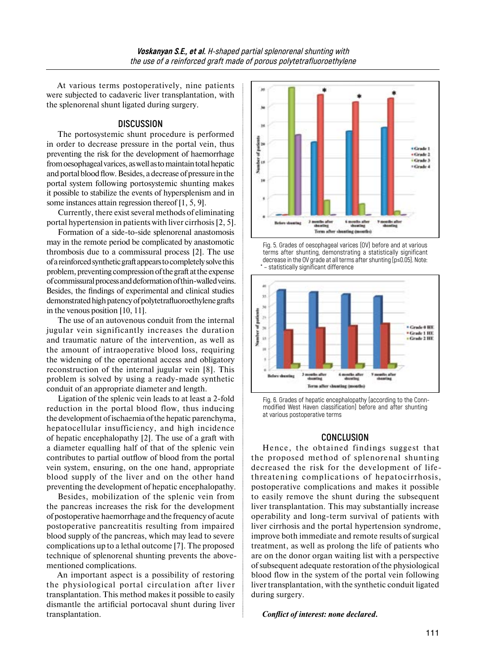At various terms postoperatively, nine patients were subjected to cadaveric liver transplantation, with the splenorenal shunt ligated during surgery.

### **DISCUSSION**

The portosystemic shunt procedure is performed in order to decrease pressure in the portal vein, thus preventing the risk for the development of haemorrhage from oesophageal varices, as well as tomaintain total hepatic and portal blood flow. Besides, a decrease of pressure inthe portal system following portosystemic shunting makes it possible to stabilize the events of hypersplenism and in some instances attain regression thereof [1, 5, 9].

Currently, there exist several methods of eliminating portal hypertension in patients with liver cirrhosis [2, 5].

Formation of a side-to-side splenorenal anastomosis may in the remote period be complicated by anastomotic thrombosis due to a commissural process [2]. The use ofareinforced synthetic graft appears tocompletely solve this problem, preventing compression ofthe graft atthe expense ofcommissural process anddeformation ofthin-walled veins. Besides, the findings of experimental and clinical studies demonstrated high patency of polytetrafluoroethylene grafts in the venous position [10, 11].

The use of an autovenous conduit from the internal jugular vein significantly increases the duration and traumatic nature of the intervention, as well as the amount of intraoperative blood loss, requiring the widening of the operational access and obligatory reconstruction of the internal jugular vein [8]. This problem is solved by using a ready-made synthetic conduit of an appropriate diameter and length.

Ligation of the splenic vein leads to at least a 2-fold reduction in the portal blood flow, thus inducing the development of ischaemia ofthe hepatic parenchyma, hepatocellular insufficiency, and high incidence of hepatic encephalopathy [2]. The use of a graft with a diameter equalling half of that of the splenic vein contributes to partial outflow of blood from the portal vein system, ensuring, on the one hand, appropriate blood supply of the liver and on the other hand preventing the development of hepatic encephalopathy.

Besides, mobilization of the splenic vein from the pancreas increases the risk for the development of postoperative haemorrhage and the frequency of acute postoperative pancreatitis resulting from impaired blood supply of the pancreas, which may lead to severe complications up to a lethal outcome [7]. The proposed technique of splenorenal shunting prevents the abovementioned complications.

An important aspect is a possibility of restoring the physiological portal circulation after liver transplantation. This method makes it possible to easily dismantle the artificial portocaval shunt during liver transplantation.



Fig. 5. Grades of oesophageal varices (OV) before and at various terms after shunting, demonstrating a statistically significant decrease in the OV grade at all terms after shunting (p≤0.05). Note: \* – statistically significant difference



Fig. 6. Grades of hepatic encephalopathy (according to the Connmodified West Haven classification) before and after shunting at various postoperative terms

## **CONCLUSION**

Hence, the obtained findings suggest that the proposed method of splenorenal shunting decreased the risk for the development of lifethreatening complications of hepatocirrhosis, postoperative complications and makes it possible to easily remove the shunt during the subsequent liver transplantation. This may substantially increase operability and long-term survival of patients with liver cirrhosis and the portal hypertension syndrome, improve both immediate and remote results of surgical treatment, as well as prolong the life of patients who are on the donor organ waiting list with a perspective of subsequent adequate restoration of the physiological blood flow in the system of the portal vein following liver transplantation, with the synthetic conduit ligated during surgery.

*Conflict of interest: none declared.*